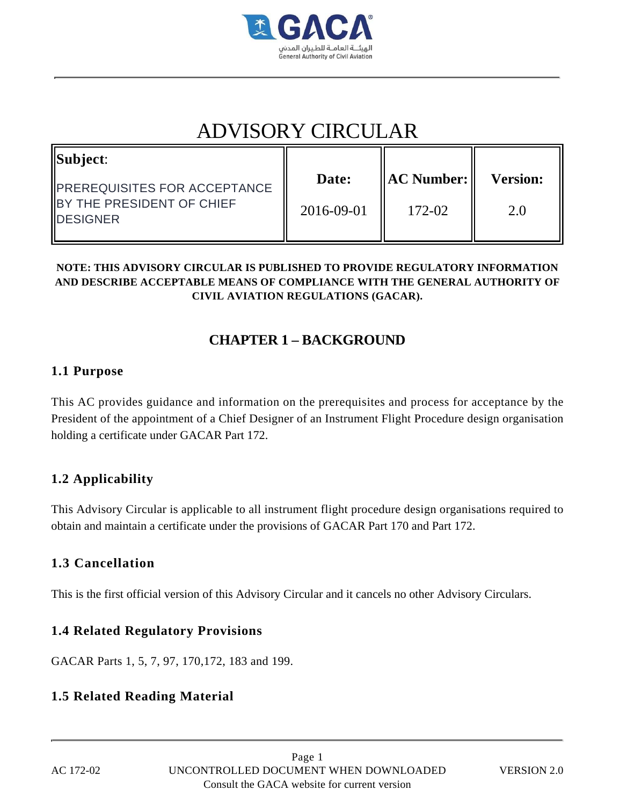

# ADVISORY CIRCULAR

| $\vert$ Subject:                                                                              | Date:      | <b>AC Number:</b> | <b>Version:</b> |
|-----------------------------------------------------------------------------------------------|------------|-------------------|-----------------|
| <b>IPREREQUISITES FOR ACCEPTANCE</b><br><b>IBY THE PRESIDENT OF CHIEF</b><br><b>IDESIGNER</b> | 2016-09-01 | 172-02            | 2.0             |

#### **NOTE: THIS ADVISORY CIRCULAR IS PUBLISHED TO PROVIDE REGULATORY INFORMATION AND DESCRIBE ACCEPTABLE MEANS OF COMPLIANCE WITH THE GENERAL AUTHORITY OF CIVIL AVIATION REGULATIONS (GACAR).**

# **CHAPTER 1 – BACKGROUND**

### **1.1 Purpose**

This AC provides guidance and information on the prerequisites and process for acceptance by the President of the appointment of a Chief Designer of an Instrument Flight Procedure design organisation holding a certificate under GACAR Part 172.

# **1.2 Applicability**

This Advisory Circular is applicable to all instrument flight procedure design organisations required to obtain and maintain a certificate under the provisions of GACAR Part 170 and Part 172.

# **1.3 Cancellation**

This is the first official version of this Advisory Circular and it cancels no other Advisory Circulars.

### **1.4 Related Regulatory Provisions**

GACAR Parts 1, 5, 7, 97, 170,172, 183 and 199.

# **1.5 Related Reading Material**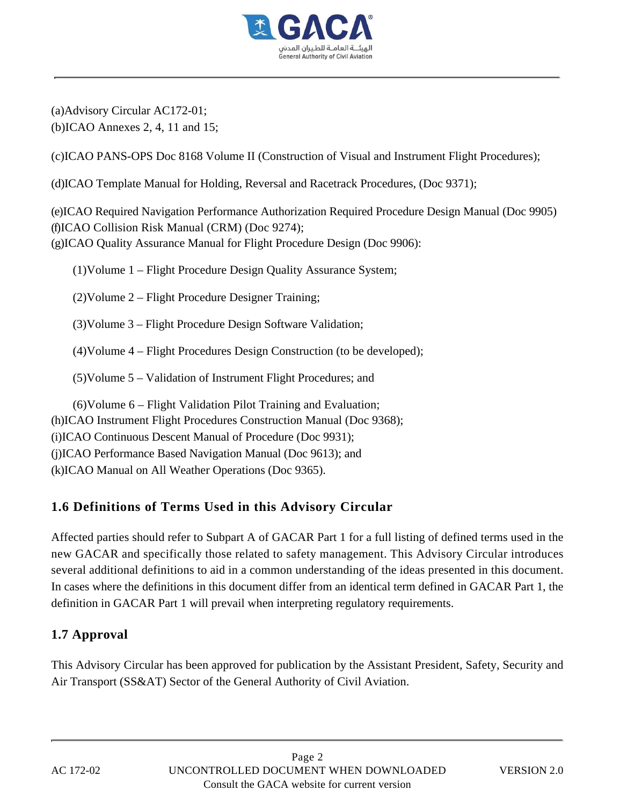

(a)Advisory Circular AC172-01; (b)ICAO Annexes 2, 4, 11 and 15;

(c)ICAO PANS-OPS Doc 8168 Volume II (Construction of Visual and Instrument Flight Procedures);

(d)ICAO Template Manual for Holding, Reversal and Racetrack Procedures, (Doc 9371);

(e)ICAO Required Navigation Performance Authorization Required Procedure Design Manual (Doc 9905) (f)ICAO Collision Risk Manual (CRM) (Doc 9274); (g)ICAO Quality Assurance Manual for Flight Procedure Design (Doc 9906):

(1)Volume 1 – Flight Procedure Design Quality Assurance System;

(2)Volume 2 – Flight Procedure Designer Training;

(3)Volume 3 – Flight Procedure Design Software Validation;

(4)Volume 4 – Flight Procedures Design Construction (to be developed);

(5)Volume 5 – Validation of Instrument Flight Procedures; and

(6)Volume 6 – Flight Validation Pilot Training and Evaluation; (h)ICAO Instrument Flight Procedures Construction Manual (Doc 9368); (i)ICAO Continuous Descent Manual of Procedure (Doc 9931); (j)ICAO Performance Based Navigation Manual (Doc 9613); and (k)ICAO Manual on All Weather Operations (Doc 9365).

# **1.6 Definitions of Terms Used in this Advisory Circular**

Affected parties should refer to Subpart A of GACAR Part 1 for a full listing of defined terms used in the new GACAR and specifically those related to safety management. This Advisory Circular introduces several additional definitions to aid in a common understanding of the ideas presented in this document. In cases where the definitions in this document differ from an identical term defined in GACAR Part 1, the definition in GACAR Part 1 will prevail when interpreting regulatory requirements.

# **1.7 Approval**

This Advisory Circular has been approved for publication by the Assistant President, Safety, Security and Air Transport (SS&AT) Sector of the General Authority of Civil Aviation.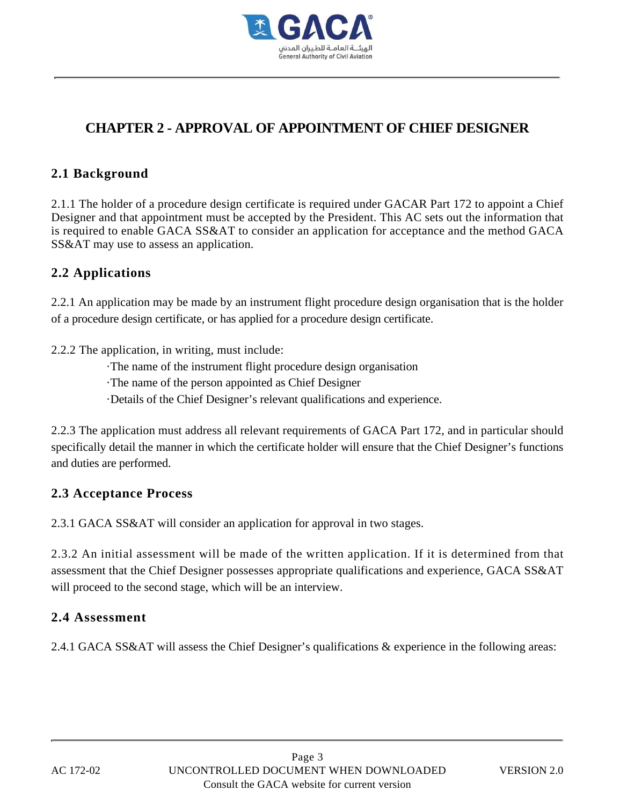

# **CHAPTER 2 - APPROVAL OF APPOINTMENT OF CHIEF DESIGNER**

### **2.1 Background**

2.1.1 The holder of a procedure design certificate is required under GACAR Part 172 to appoint a Chief Designer and that appointment must be accepted by the President. This AC sets out the information that is required to enable GACA SS&AT to consider an application for acceptance and the method GACA SS&AT may use to assess an application.

### **2.2 Applications**

2.2.1 An application may be made by an instrument flight procedure design organisation that is the holder of a procedure design certificate, or has applied for a procedure design certificate.

2.2.2 The application, in writing, must include:

·The name of the instrument flight procedure design organisation

·The name of the person appointed as Chief Designer

·Details of the Chief Designer's relevant qualifications and experience.

2.2.3 The application must address all relevant requirements of GACA Part 172, and in particular should specifically detail the manner in which the certificate holder will ensure that the Chief Designer's functions and duties are performed.

### **2.3 Acceptance Process**

2.3.1 GACA SS&AT will consider an application for approval in two stages.

2.3.2 An initial assessment will be made of the written application. If it is determined from that assessment that the Chief Designer possesses appropriate qualifications and experience, GACA SS&AT will proceed to the second stage, which will be an interview.

### **2.4 Assessment**

2.4.1 GACA SS&AT will assess the Chief Designer's qualifications & experience in the following areas: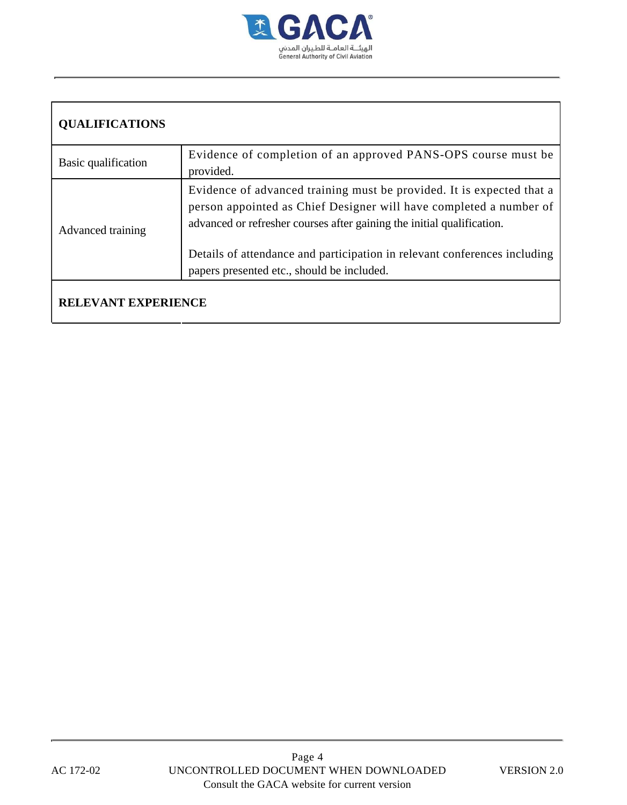

# **QUALIFICATIONS**

| Basic qualification | Evidence of completion of an approved PANS-OPS course must be<br>provided.                                                                                                                                            |
|---------------------|-----------------------------------------------------------------------------------------------------------------------------------------------------------------------------------------------------------------------|
| Advanced training   | Evidence of advanced training must be provided. It is expected that a<br>person appointed as Chief Designer will have completed a number of<br>advanced or refresher courses after gaining the initial qualification. |
|                     | Details of attendance and participation in relevant conferences including<br>papers presented etc., should be included.                                                                                               |
|                     |                                                                                                                                                                                                                       |

#### **RELEVANT EXPERIENCE**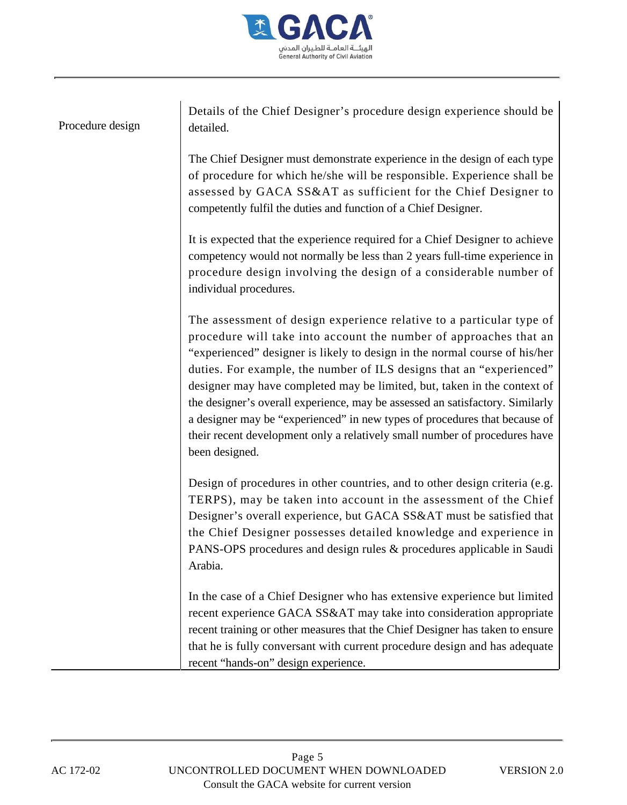

| Procedure design | Details of the Chief Designer's procedure design experience should be<br>detailed.                                                                                                                                                                                                                                                                                                                                                                                                                                                                                                                                                         |
|------------------|--------------------------------------------------------------------------------------------------------------------------------------------------------------------------------------------------------------------------------------------------------------------------------------------------------------------------------------------------------------------------------------------------------------------------------------------------------------------------------------------------------------------------------------------------------------------------------------------------------------------------------------------|
|                  | The Chief Designer must demonstrate experience in the design of each type<br>of procedure for which he/she will be responsible. Experience shall be<br>assessed by GACA SS&AT as sufficient for the Chief Designer to<br>competently fulfil the duties and function of a Chief Designer.                                                                                                                                                                                                                                                                                                                                                   |
|                  | It is expected that the experience required for a Chief Designer to achieve<br>competency would not normally be less than 2 years full-time experience in<br>procedure design involving the design of a considerable number of<br>individual procedures.                                                                                                                                                                                                                                                                                                                                                                                   |
|                  | The assessment of design experience relative to a particular type of<br>procedure will take into account the number of approaches that an<br>"experienced" designer is likely to design in the normal course of his/her<br>duties. For example, the number of ILS designs that an "experienced"<br>designer may have completed may be limited, but, taken in the context of<br>the designer's overall experience, may be assessed an satisfactory. Similarly<br>a designer may be "experienced" in new types of procedures that because of<br>their recent development only a relatively small number of procedures have<br>been designed. |
|                  | Design of procedures in other countries, and to other design criteria (e.g.<br>TERPS), may be taken into account in the assessment of the Chief<br>Designer's overall experience, but GACA SS&AT must be satisfied that<br>the Chief Designer possesses detailed knowledge and experience in<br>PANS-OPS procedures and design rules & procedures applicable in Saudi<br>Arabia.                                                                                                                                                                                                                                                           |
|                  | In the case of a Chief Designer who has extensive experience but limited<br>recent experience GACA SS&AT may take into consideration appropriate<br>recent training or other measures that the Chief Designer has taken to ensure<br>that he is fully conversant with current procedure design and has adequate<br>recent "hands-on" design experience.                                                                                                                                                                                                                                                                                    |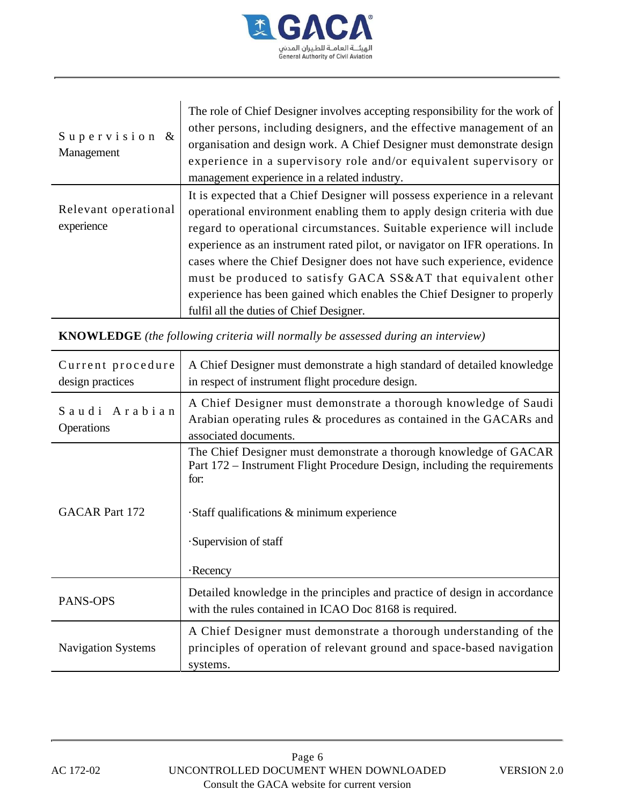

| Supervision &<br>Management                                                             | The role of Chief Designer involves accepting responsibility for the work of<br>other persons, including designers, and the effective management of an<br>organisation and design work. A Chief Designer must demonstrate design<br>experience in a supervisory role and/or equivalent supervisory or<br>management experience in a related industry.                                                                                                                                                                                                                          |  |  |
|-----------------------------------------------------------------------------------------|--------------------------------------------------------------------------------------------------------------------------------------------------------------------------------------------------------------------------------------------------------------------------------------------------------------------------------------------------------------------------------------------------------------------------------------------------------------------------------------------------------------------------------------------------------------------------------|--|--|
| Relevant operational<br>experience                                                      | It is expected that a Chief Designer will possess experience in a relevant<br>operational environment enabling them to apply design criteria with due<br>regard to operational circumstances. Suitable experience will include<br>experience as an instrument rated pilot, or navigator on IFR operations. In<br>cases where the Chief Designer does not have such experience, evidence<br>must be produced to satisfy GACA SS&AT that equivalent other<br>experience has been gained which enables the Chief Designer to properly<br>fulfil all the duties of Chief Designer. |  |  |
| <b>KNOWLEDGE</b> (the following criteria will normally be assessed during an interview) |                                                                                                                                                                                                                                                                                                                                                                                                                                                                                                                                                                                |  |  |
| Current procedure<br>design practices                                                   | A Chief Designer must demonstrate a high standard of detailed knowledge<br>in respect of instrument flight procedure design.                                                                                                                                                                                                                                                                                                                                                                                                                                                   |  |  |
| Saudi Arabian<br>Operations                                                             | A Chief Designer must demonstrate a thorough knowledge of Saudi<br>Arabian operating rules & procedures as contained in the GACARs and<br>associated documents.                                                                                                                                                                                                                                                                                                                                                                                                                |  |  |
| <b>GACAR</b> Part 172                                                                   | The Chief Designer must demonstrate a thorough knowledge of GACAR<br>Part 172 – Instrument Flight Procedure Design, including the requirements<br>for:<br>·Staff qualifications & minimum experience<br>·Supervision of staff<br>$\cdot$ Recency                                                                                                                                                                                                                                                                                                                               |  |  |
| PANS-OPS                                                                                | Detailed knowledge in the principles and practice of design in accordance<br>with the rules contained in ICAO Doc 8168 is required.                                                                                                                                                                                                                                                                                                                                                                                                                                            |  |  |
| <b>Navigation Systems</b>                                                               | A Chief Designer must demonstrate a thorough understanding of the<br>principles of operation of relevant ground and space-based navigation<br>systems.                                                                                                                                                                                                                                                                                                                                                                                                                         |  |  |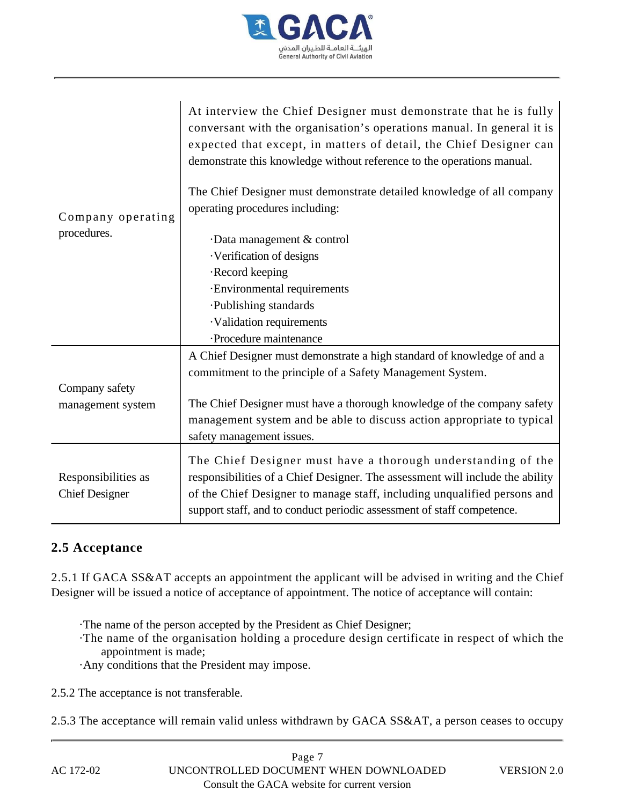

| Company operating<br>procedures.             | At interview the Chief Designer must demonstrate that he is fully<br>conversant with the organisation's operations manual. In general it is<br>expected that except, in matters of detail, the Chief Designer can<br>demonstrate this knowledge without reference to the operations manual.<br>The Chief Designer must demonstrate detailed knowledge of all company<br>operating procedures including: |
|----------------------------------------------|---------------------------------------------------------------------------------------------------------------------------------------------------------------------------------------------------------------------------------------------------------------------------------------------------------------------------------------------------------------------------------------------------------|
|                                              | Data management & control                                                                                                                                                                                                                                                                                                                                                                               |
|                                              | · Verification of designs                                                                                                                                                                                                                                                                                                                                                                               |
|                                              | ·Record keeping                                                                                                                                                                                                                                                                                                                                                                                         |
|                                              | · Environmental requirements                                                                                                                                                                                                                                                                                                                                                                            |
|                                              | ·Publishing standards                                                                                                                                                                                                                                                                                                                                                                                   |
|                                              | ·Validation requirements                                                                                                                                                                                                                                                                                                                                                                                |
|                                              | ·Procedure maintenance                                                                                                                                                                                                                                                                                                                                                                                  |
|                                              | A Chief Designer must demonstrate a high standard of knowledge of and a<br>commitment to the principle of a Safety Management System.                                                                                                                                                                                                                                                                   |
| Company safety                               |                                                                                                                                                                                                                                                                                                                                                                                                         |
| management system                            | The Chief Designer must have a thorough knowledge of the company safety                                                                                                                                                                                                                                                                                                                                 |
|                                              | management system and be able to discuss action appropriate to typical<br>safety management issues.                                                                                                                                                                                                                                                                                                     |
| Responsibilities as<br><b>Chief Designer</b> | The Chief Designer must have a thorough understanding of the<br>responsibilities of a Chief Designer. The assessment will include the ability<br>of the Chief Designer to manage staff, including unqualified persons and<br>support staff, and to conduct periodic assessment of staff competence.                                                                                                     |

### **2.5 Acceptance**

2.5.1 If GACA SS&AT accepts an appointment the applicant will be advised in writing and the Chief Designer will be issued a notice of acceptance of appointment. The notice of acceptance will contain:

- ·The name of the person accepted by the President as Chief Designer;
- ·The name of the organisation holding a procedure design certificate in respect of which the appointment is made;
- ·Any conditions that the President may impose.
- 2.5.2 The acceptance is not transferable.
- 2.5.3 The acceptance will remain valid unless withdrawn by GACA SS&AT, a person ceases to occupy